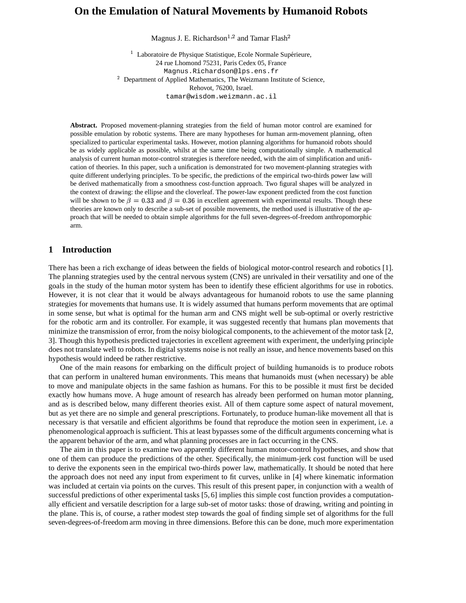# **On the Emulation of Natural Movements by Humanoid Robots**

Magnus J. E. Richardson $^{1,2}$  and Tamar Flash $^2$ 

<sup>1</sup> Laboratoire de Physique Statistique, Ecole Normale Supérieure, 24 rue Lhomond 75231, Paris Cedex 05, France Magnus.Richardson@lps.ens.fr  $2$  Department of Applied Mathematics, The Weizmann Institute of Science, Rehovot, 76200, Israel. tamar@wisdom.weizmann.ac.il

**Abstract.** Proposed movement-planning strategies from the field of human motor control are examined for possible emulation by robotic systems. There are many hypotheses for human arm-movement planning, often specialized to particular experimental tasks. However, motion planning algorithms for humanoid robots should be as widely applicable as possible, whilst at the same time being computationally simple. A mathematical analysis of current human motor-control strategies is therefore needed, with the aim of simplification and unification of theories. In this paper, such a unification is demonstrated for two movement-planning strategies with quite different underlying principles. To be specific, the predictions of the empirical two-thirds power law will be derived mathematically from a smoothness cost-function approach. Two figural shapes will be analyzed in the context of drawing: the ellipse and the cloverleaf. The power-law exponent predicted from the cost function will be shown to be  $\beta = 0.33$  and  $\beta = 0.36$  in excellent agreement with experimental results. Though these theories are known only to describe a sub-set of possible movements, the method used is illustrative of the approach that will be needed to obtain simple algorithms for the full seven-degrees-of-freedom anthropomorphic arm.

## **1 Introduction**

There has been a rich exchange of ideas between the fields of biological motor-control research and robotics [1]. The planning strategies used by the central nervous system (CNS) are unrivaled in their versatility and one of the goals in the study of the human motor system has been to identify these efficient algorithms for use in robotics. However, it is not clear that it would be always advantageous for humanoid robots to use the same planning strategies for movements that humans use. It is widely assumed that humans perform movements that are optimal in some sense, but what is optimal for the human arm and CNS might well be sub-optimal or overly restrictive for the robotic arm and its controller. For example, it was suggested recently that humans plan movements that minimize the transmission of error, from the noisy biological components, to the achievement of the motor task [2, 3]. Though this hypothesis predicted trajectories in excellent agreement with experiment, the underlying principle does not translate well to robots. In digital systems noise is not really an issue, and hence movements based on this hypothesis would indeed be rather restrictive.

One of the main reasons for embarking on the difficult project of building humanoids is to produce robots that can perform in unaltered human environments. This means that humanoids must (when necessary) be able to move and manipulate objects in the same fashion as humans. For this to be possible it must first be decided exactly how humans move. A huge amount of research has already been performed on human motor planning, and as is described below, many different theories exist. All of them capture some aspect of natural movement, but as yet there are no simple and general prescriptions. Fortunately, to produce human-like movement all that is necessary is that versatile and efficient algorithms be found that reproduce the motion seen in experiment, i.e. a phenomenological approach is sufficient. This at least bypasses some of the difficult arguments concerning what is the apparent behavior of the arm, and what planning processes are in fact occurring in the CNS.

The aim in this paper is to examine two apparently different human motor-control hypotheses, and show that one of them can produce the predictions of the other. Specifically, the minimum-jerk cost function will be used to derive the exponents seen in the empirical two-thirds power law, mathematically. It should be noted that here the approach does not need any input from experiment to fit curves, unlike in [4] where kinematic information was included at certain via points on the curves. This result of this present paper, in conjunction with a wealth of successful predictions of other experimental tasks [5, 6] implies this simple cost function provides a computationally efficient and versatile description for a large sub-set of motor tasks: those of drawing, writing and pointing in the plane. This is, of course, a rather modest step towards the goal of finding simple set of algorithms for the full seven-degrees-of-freedom arm moving in three dimensions. Before this can be done, much more experimentation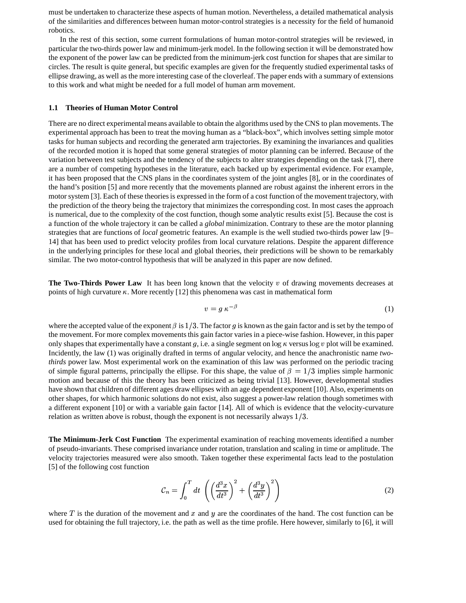must be undertaken to characterize these aspects of human motion. Nevertheless, a detailed mathematical analysis of the similarities and differences between human motor-control strategies is a necessity for the field of humanoid robotics.

In the rest of this section, some current formulations of human motor-control strategies will be reviewed, in particular the two-thirds power law and minimum-jerk model. In the following section it will be demonstrated how the exponent of the power law can be predicted from the minimum-jerk cost function for shapes that are similar to circles. The result is quite general, but specific examples are given for the frequently studied experimental tasks of ellipse drawing, as well as the more interesting case of the cloverleaf. The paper ends with a summary of extensions to this work and what might be needed for a full model of human arm movement.

#### **1.1 Theories of Human Motor Control**

There are no direct experimental means available to obtain the algorithms used by the CNS to plan movements. The experimental approach has been to treat the moving human as a "black-box", which involves setting simple motor tasks for human subjects and recording the generated arm trajectories. By examining the invariances and qualities of the recorded motion it is hoped that some general strategies of motor planning can be inferred. Because of the variation between test subjects and the tendency of the subjects to alter strategies depending on the task [7], there are a number of competing hypotheses in the literature, each backed up by experimental evidence. For example, it has been proposed that the CNS plans in the coordinates system of the joint angles [8], or in the coordinates of the hand's position [5] and more recently that the movements planned are robust against the inherent errors in the motor system [3]. Each of these theoriesis expressed in the form of a cost function of the movement trajectory, with the prediction of the theory being the trajectory that minimizes the corresponding cost. In most cases the approach is numerical, due to the complexity of the cost function, though some analytic results exist [5]. Because the cost is a function of the whole trajectory it can be called a *global* minimization. Contrary to these are the motor planning strategies that are functions of *local* geometric features. An example is the well studied two-thirds power law [9– 14] that has been used to predict velocity profiles from local curvature relations. Despite the apparent difference in the underlying principles for these local and global theories, their predictions will be shown to be remarkably similar. The two motor-control hypothesis that will be analyzed in this paper are now defined.

**The Two-Thirds Power Law** It has been long known that the velocity of drawing movements decreases at points of high curvature  $\kappa$ . More recently [12] this phenomena was cast in mathematical form

$$
v = g \; \kappa^{-\beta} \tag{1}
$$

where the accepted value of the exponent  $\beta$  is  $1/3$ . The factor g is known as the gain factor and is set by the tempo of the movement. For more complex movements this gain factor varies in a piece-wise fashion. However, in this paper only shapes that experimentally have a constant g, i.e. a single segment on  $\log \kappa$  versus  $\log v$  plot will be examined. Incidently, the law (1) was originally drafted in terms of angular velocity, and hence the anachronistic name *twothirds* power law. Most experimental work on the examination of this law was performed on the periodic tracing of simple figural patterns, principally the ellipse. For this shape, the value of  $\beta = 1/3$  implies simple harmonic motion and because of this the theory has been criticized as being trivial [13]. However, developmental studies have shown that children of different ages draw ellipses with an age dependent exponent [10]. Also, experiments on other shapes, for which harmonic solutions do not exist, also suggest a power-law relation though sometimes with a different exponent [10] or with a variable gain factor [14]. All of which is evidence that the velocity-curvature relation as written above is robust, though the exponent is not necessarily always  $1/3$ .

**The Minimum-Jerk Cost Function** The experimental examination of reaching movements identified a number of pseudo-invariants. These comprised invariance under rotation, translation and scaling in time or amplitude. The velocity trajectories measured were also smooth. Taken together these experimental facts lead to the postulation [5] of the following cost function

$$
\mathcal{C}_n = \int_0^T dt \left( \left( \frac{d^3 x}{dt^3} \right)^2 + \left( \frac{d^3 y}{dt^3} \right)^2 \right) \tag{2}
$$

where T is the duration of the movement and x and y are the coordinates of the hand. The cost function can be used for obtaining the full trajectory, i.e. the path as well as the time profile. Here however, similarly to [6], it will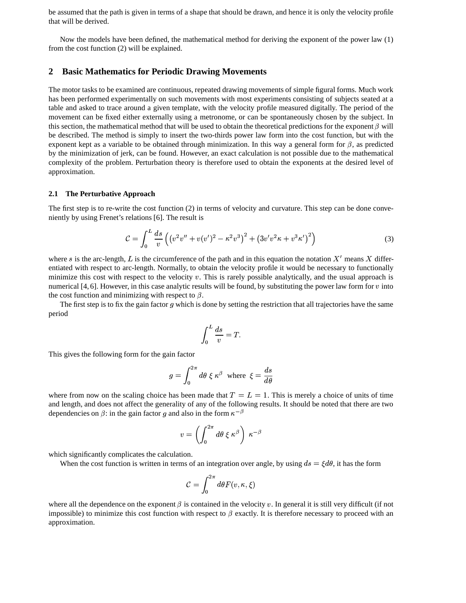be assumed that the path is given in terms of a shape that should be drawn, and hence it is only the velocity profile that will be derived.

Now the models have been defined, the mathematical method for deriving the exponent of the power law (1) from the cost function (2) will be explained.

#### **2 Basic Mathematics for Periodic Drawing Movements**

The motor tasks to be examined are continuous, repeated drawing movements of simple figural forms. Much work has been performed experimentally on such movements with most experiments consisting of subjects seated at a table and asked to trace around a given template, with the velocity profile measured digitally. The period of the movement can be fixed either externally using a metronome, or can be spontaneously chosen by the subject. In this section, the mathematical method that will be used to obtain the theoretical predictions for the exponent  $\beta$  will be described. The method is simply to insert the two-thirds power law form into the cost function, but with the exponent kept as a variable to be obtained through minimization. In this way a general form for  $\beta$ , as predicted by the minimization of jerk, can be found. However, an exact calculation is not possible due to the mathematical complexity of the problem. Perturbation theory is therefore used to obtain the exponents at the desired level of approximation.

#### **2.1 The Perturbative Approach**

The first step is to re-write the cost function (2) in terms of velocity and curvature. This step can be done conveniently by using Frenet's relations [6]. The result is

$$
\mathcal{C} = \int_0^L \frac{ds}{v} \left( (v^2 v'' + v(v')^2 - \kappa^2 v^3)^2 + (3v'v^2 \kappa + v^3 \kappa')^2 \right) \tag{3}
$$

where s is the arc-length, L is the circumference of the path and in this equation the notation  $X'$  means X differentiated with respect to arc-length. Normally, to obtain the velocity profile it would be necessary to functionally minimize this cost with respect to the velocity  $v$ . This is rarely possible analytically, and the usual approach is numerical  $[4, 6]$ . However, in this case analytic results will be found, by substituting the power law form for  $v$  into the cost function and minimizing with respect to  $\beta$ .

The first step is to fix the gain factor  $g$  which is done by setting the restriction that all trajectories have the same period

$$
\int_0^L \frac{ds}{v} = T.
$$

This gives the following form for the gain factor

$$
g = \int_0^{2\pi} d\theta \; \xi \; \kappa^{\beta} \; \; \text{where} \; \; \xi = \frac{ds}{d\theta}
$$

where from now on the scaling choice has been made that  $T = L = 1$ . This is merely a choice of units of time and length, and does not affect the generality of any of the following results. It should be noted that there are two dependencies on  $\beta$ : in the gain factor g and also in the form  $\kappa^{-\beta}$ 

$$
v = \left( \int_0^{2\pi} d\theta \; \xi \; \kappa^\beta \right) \; \kappa^{-\beta}
$$

which significantly complicates the calculation.

When the cost function is written in terms of an integration over angle, by using  $ds = \xi d\theta$ , it has the form

$$
\mathcal{C}=\int_0^{2\pi}d\theta F(v,\kappa,\xi)
$$

where all the dependence on the exponent  $\beta$  is contained in the velocity v. In general it is still very difficult (if not impossible) to minimize this cost function with respect to  $\beta$  exactly. It is therefore necessary to proceed with an approximation.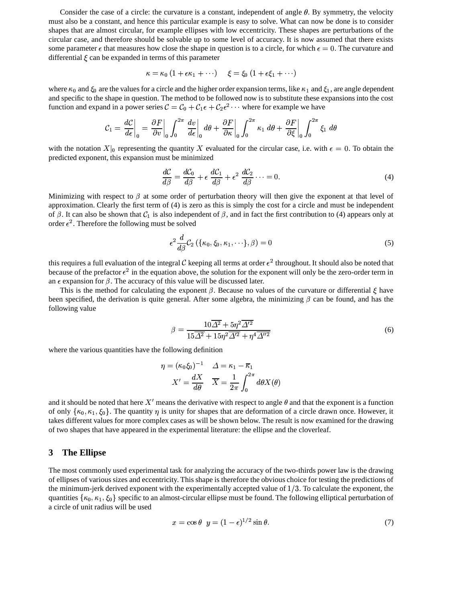Consider the case of a circle: the curvature is a constant, independent of angle  $\theta$ . By symmetry, the velocity must also be a constant, and hence this particular example is easy to solve. What can now be done is to consider shapes that are almost circular, for example ellipses with low eccentricity. These shapes are perturbations of the circular case, and therefore should be solvable up to some level of accuracy. It is now assumed that there exists some parameter  $\epsilon$  that measures how close the shape in question is to a circle, for which  $\epsilon = 0$ . The curvature and differential  $\xi$  can be expanded in terms of this parameter

$$
\kappa = \kappa_0 \left( 1 + \epsilon \kappa_1 + \cdots \right) \quad \xi = \xi_0 \left( 1 + \epsilon \xi_1 + \cdots \right)
$$

where  $\kappa_0$  and  $\xi_0$  are the values for a circle and the higher order expansion terms, like  $\kappa_1$  and  $\xi_1$ , are angle dependent and specific to the shape in question. The method to be followed now is to substitute these expansions into the cost<br>function and around in a nouve series  $\mathcal{C} = \mathcal{C} + \mathcal{C} \leq | \mathcal{L} e^2$  where for around a we have function and expand in a power series  $C = C_0 + C_1 \epsilon + C_2 \epsilon^2 \cdots$  where for example we have

$$
\mathcal{C}_1 = \frac{d\mathcal{C}}{d\epsilon}\bigg|_0 = \frac{\partial F}{\partial v}\bigg|_0 \int_0^{2\pi} \frac{dv}{d\epsilon}\bigg|_0 d\theta + \frac{\partial F}{\partial \kappa}\bigg|_0 \int_0^{2\pi} \kappa_1 d\theta + \frac{\partial F}{\partial \xi}\bigg|_0 \int_0^{2\pi} \xi_1 d\theta
$$

with the notation  $X|_0$  representing the quantity X evaluated for the circular case, i.e. with  $\epsilon = 0$ . To obtain the predicted exponent, this expansion must be minimized

$$
\frac{dC}{d\beta} = \frac{dC_0}{d\beta} + \epsilon \frac{dC_1}{d\beta} + \epsilon^2 \frac{dC_2}{d\beta} \cdots = 0.
$$
\n(4)

Minimizing with respect to  $\beta$  at some order of perturbation theory will then give the exponent at that level of approximation. Clearly the first term of (4) is zero as this is simply the cost for a circle and must be independent of  $\beta$ . It can also be shown that  $\mathcal{C}_1$  is also independent of  $\beta$ , and in fact the first contribution to (4) appears only at order  $\epsilon^2$ . Therefore the following must be solved

$$
\epsilon^2 \frac{d}{d\beta} C_2 \left( \{\kappa_0, \xi_0, \kappa_1, \cdots \}, \beta \right) = 0 \tag{5}
$$

this requires a full evaluation of the integral C keeping all terms at order  $\epsilon^2$  throughout. It should also be noted that because of the prefactor  $\epsilon^2$  in the equation above, the solution for the exponent will only be the zero-order term in an  $\epsilon$  expansion for  $\beta$ . The accuracy of this value will be discussed later.

This is the method for calculating the exponent  $\beta$ . Because no values of the curvature or differential  $\xi$  have been specified, the derivation is quite general. After some algebra, the minimizing  $\beta$  can be found, and has the following value

$$
\beta = \frac{10\overline{\Delta^2} + 5\eta^2 \overline{\Delta'^2}}{15\overline{\Delta^2} + 15\eta^2 \overline{\Delta'^2} + \eta^4 \overline{\Delta''^2}}
$$
\n(6)

where the various quantities have the following definition

$$
\eta = (\kappa_0 \xi_0)^{-1} \quad \Delta = \kappa_1 - \overline{\kappa}_1
$$

$$
X' = \frac{dX}{d\theta} \quad \overline{X} = \frac{1}{2\pi} \int_0^{2\pi} d\theta X(\theta)
$$

and it should be noted that here X' means the derivative with respect to angle  $\theta$  and that the exponent is a function and it should be noted that here X' means the derivative with respect to angle  $\theta$  and that the exponent is a function<br>of only  $\{\kappa_0, \kappa_1, \xi_0\}$ . The quantity  $\eta$  is unity for shapes that are deformation of a circle takes different values for more complex cases as will be shown below. The result is now examined for the drawing of two shapes that have appeared in the experimental literature: the ellipse and the cloverleaf.

#### **3 The Ellipse**

The most commonly used experimental task for analyzing the accuracy of the two-thirds power law is the drawing of ellipses of various sizes and eccentricity. This shape is therefore the obvious choice for testing the predictions of the minimum-jerk derived exponent with the experimentally accepted value of  $1/3$ . To calculate the exponent, the quantities  $\{\kappa_0, \kappa_1, \xi_0\}$  specific to an almost-circular ellipse must be found. The following elliptical perturbation of a circle of unit radius will be used

$$
x = \cos \theta \quad y = (1 - \epsilon)^{1/2} \sin \theta. \tag{7}
$$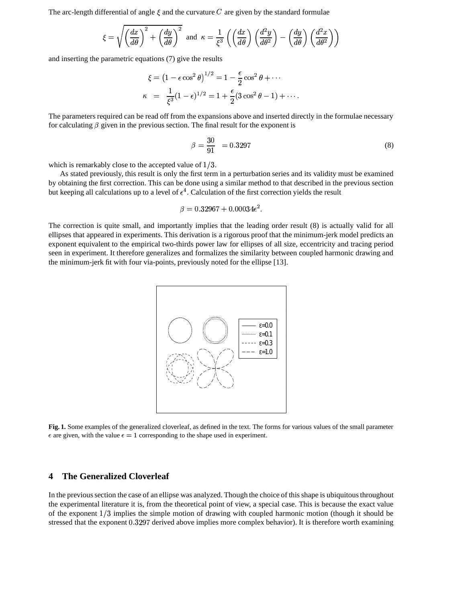The arc-length differential of angle  $\xi$  and the curvature C are given by the standard formulae

$$
\xi = \sqrt{\left(\frac{dx}{d\theta}\right)^2 + \left(\frac{dy}{d\theta}\right)^2} \text{ and } \kappa = \frac{1}{\xi^3} \left(\left(\frac{dx}{d\theta}\right) \left(\frac{d^2y}{d\theta^2}\right) - \left(\frac{dy}{d\theta}\right) \left(\frac{d^2x}{d\theta^2}\right)\right)
$$

and inserting the parametric equations (7) give the results

$$
\xi = (1 - \epsilon \cos^2 \theta)^{1/2} = 1 - \frac{\epsilon}{2} \cos^2 \theta + \cdots
$$
  

$$
\kappa = \frac{1}{\xi^3} (1 - \epsilon)^{1/2} = 1 + \frac{\epsilon}{2} (3 \cos^2 \theta - 1) + \cdots
$$

The parameters required can be read off from the expansions above and inserted directly in the formulae necessary for calculating  $\beta$  given in the previous section. The final result for the exponent is

$$
\beta = \frac{30}{91} = 0.3297 \tag{8}
$$

which is remarkably close to the accepted value of  $1/3$ .

As stated previously, this result is only the first term in a perturbation series and its validity must be examined by obtaining the first correction. This can be done using a similar method to that described in the previous section but keeping all calculations up to a level of  $\epsilon^4$ . Calculation of the first correction yields the result

$$
\beta = 0.32967 + 0.00034\epsilon^2.
$$

The correction is quite small, and importantly implies that the leading order result (8) is actually valid for all ellipses that appeared in experiments. This derivation is a rigorous proof that the minimum-jerk model predicts an exponent equivalent to the empirical two-thirds power law for ellipses of all size, eccentricity and tracing period seen in experiment. It therefore generalizes and formalizes the similarity between coupled harmonic drawing and the minimum-jerk fit with four via-points, previously noted for the ellipse [13].



**Fig. 1.** Some examples of the generalized cloverleaf, as defined in the text. The forms for various values of the small parameter  $\epsilon$  are given, with the value  $\epsilon = 1$  corresponding to the shape used in experiment.

### **4 The Generalized Cloverleaf**

In the previoussection the case of an ellipse was analyzed. Though the choice of this shape is ubiquitousthroughout the experimental literature it is, from the theoretical point of view, a special case. This is because the exact value of the exponent  $1/3$  implies the simple motion of drawing with coupled harmonic motion (though it should be stressed that the exponent 0.3297 derived above implies more complex behavior). It is therefore worth examining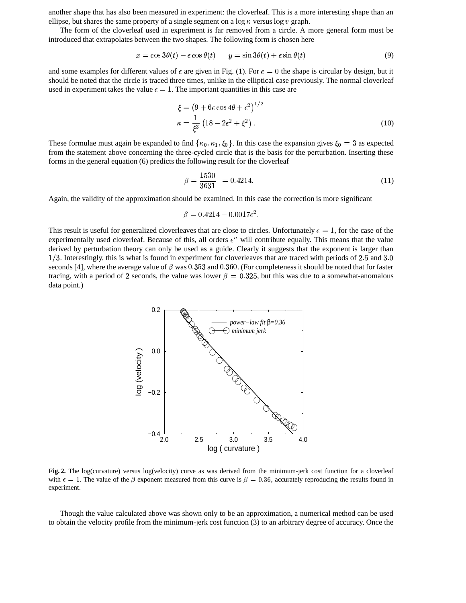another shape that has also been measured in experiment: the cloverleaf. This is a more interesting shape than an ellipse, but shares the same property of a single segment on a  $\log \kappa$  versus  $\log v$  graph.

The form of the cloverleaf used in experiment is far removed from a circle. A more general form must be introduced that extrapolates between the two shapes. The following form is chosen here

$$
x = \cos 3\theta(t) - \epsilon \cos \theta(t) \qquad y = \sin 3\theta(t) + \epsilon \sin \theta(t) \tag{9}
$$

and some examples for different values of  $\epsilon$  are given in Fig. (1). For  $\epsilon = 0$  the shape is circular by design, but it should be noted that the circle is traced three times, unlike in the elliptical case previously. The normal cloverleaf used in experiment takes the value  $\epsilon = 1$ . The important quantities in this case are

$$
\xi = \left(9 + 6\epsilon \cos 4\theta + \epsilon^2\right)^{1/2}
$$

$$
\kappa = \frac{1}{\xi^3} \left(18 - 2\epsilon^2 + \xi^2\right). \tag{10}
$$

These formulae must again be expanded to find  $\{\kappa_0, \kappa_1, \xi_0\}$ . In this case the expansion gives  $\xi_0 = 3$  as expected from the statement above concerning the three-cycled circle that is the basis for the perturbation. Inserting these forms in the general equation (6) predicts the following result for the cloverleaf

$$
\beta = \frac{1530}{3631} = 0.4214. \tag{11}
$$

Again, the validity of the approximation should be examined. In this case the correction is more significant

$$
\beta = 0.4214 - 0.0017\epsilon^2.
$$

This result is useful for generalized cloverleaves that are close to circles. Unfortunately  $\epsilon = 1$ , for the case of the experimentally used cloverleaf. Because of this, all orders  $\epsilon^n$  will contribute equally. This means that the value derived by perturbation theory can only be used as a guide. Clearly it suggests that the exponent is larger than derived by perturbation theory can only be used as a guide. Clearly it suggests that the exponent is larger than<br>1/3. Interestingly, this is what is found in experiment for cloverleaves that are traced with periods of 2.5 seconds [4], where the average value of  $\beta$  was 0.353 and 0.360. (For completeness it should be noted that for faster tracing, with a period of 2 seconds, the value was lower  $\beta = 0.325$ , but this was due to a somewhat-anomalous data point.)



**Fig. 2.** The log(curvature) versus log(velocity) curve as was derived from the minimum-jerk cost function for a cloverleaf with  $\epsilon = 1$ . The value of the  $\beta$  exponent measured from this curve is  $\beta = 0.36$ , accurately reproducing the results found in experiment.

Though the value calculated above was shown only to be an approximation, a numerical method can be used to obtain the velocity profile from the minimum-jerk cost function (3) to an arbitrary degree of accuracy. Once the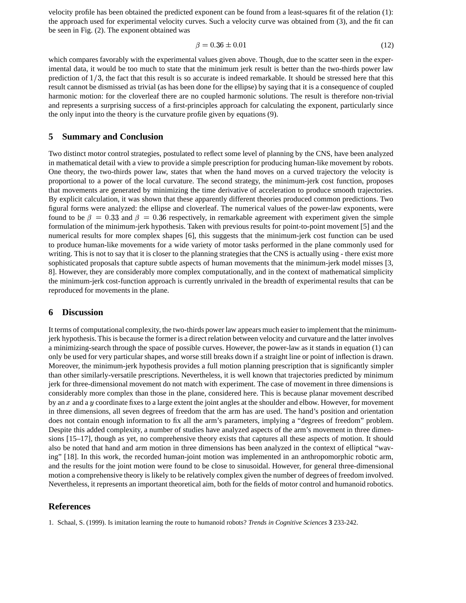velocity profile has been obtained the predicted exponent can be found from a least-squares fit of the relation (1): the approach used for experimental velocity curves. Such a velocity curve was obtained from (3), and the fit can be seen in Fig. (2). The exponent obtained was

$$
\beta = 0.36 \pm 0.01 \tag{12}
$$

which compares favorably with the experimental values given above. Though, due to the scatter seen in the experimental data, it would be too much to state that the minimum jerk result is better than the two-thirds power law prediction of  $1/3$ , the fact that this result is so accurate is indeed remarkable. It should be stressed here that this result cannot be dismissed as trivial (as has been done for the ellipse) by saying that it is a consequence of coupled harmonic motion: for the cloverleaf there are no coupled harmonic solutions. The result is therefore non-trivial and represents a surprising success of a first-principles approach for calculating the exponent, particularly since the only input into the theory is the curvature profile given by equations (9).

#### **5 Summary and Conclusion**

Two distinct motor control strategies, postulated to reflect some level of planning by the CNS, have been analyzed in mathematical detail with a view to provide a simple prescription for producing human-like movement by robots. One theory, the two-thirds power law, states that when the hand moves on a curved trajectory the velocity is proportional to a power of the local curvature. The second strategy, the minimum-jerk cost function, proposes that movements are generated by minimizing the time derivative of acceleration to produce smooth trajectories. By explicit calculation, it was shown that these apparently different theories produced common predictions. Two figural forms were analyzed: the ellipse and cloverleaf. The numerical values of the power-law exponents, were found to be  $\beta = 0.33$  and  $\beta = 0.36$  respectively, in remarkable agreement with experiment given the simple formulation of the minimum-jerk hypothesis. Taken with previous results for point-to-point movement [5] and the numerical results for more complex shapes [6], this suggests that the minimum-jerk cost function can be used to produce human-like movements for a wide variety of motor tasks performed in the plane commonly used for writing. This is not to say that it is closer to the planning strategies that the CNS is actually using - there exist more sophisticated proposals that capture subtle aspects of human movements that the minimum-jerk model misses [3, 8]. However, they are considerably more complex computationally, and in the context of mathematical simplicity the minimum-jerk cost-function approach is currently unrivaled in the breadth of experimental results that can be reproduced for movements in the plane.

#### **6 Discussion**

It terms of computational complexity, the two-thirds power law appears much easier to implement that the minimumjerk hypothesis. This is because the former is a direct relation between velocity and curvature and the latter involves a minimizing-search through the space of possible curves. However, the power-law as it stands in equation (1) can only be used for very particular shapes, and worse still breaks down if a straight line or point of inflection is drawn. Moreover, the minimum-jerk hypothesis provides a full motion planning prescription that is significantly simpler than other similarly-versatile prescriptions. Nevertheless, it is well known that trajectories predicted by minimum jerk for three-dimensional movement do not match with experiment. The case of movement in three dimensions is considerably more complex than those in the plane, considered here. This is because planar movement described by an  $x$  and a  $y$  coordinate fixes to a large extent the joint angles at the shoulder and elbow. However, for movement - in three dimensions, all seven degrees of freedom that the arm has are used. The hand's position and orientation does not contain enough information to fix all the arm's parameters, implying a "degrees of freedom" problem. Despite this added complexity, a number of studies have analyzed aspects of the arm's movement in three dimensions [15–17], though as yet, no comprehensive theory exists that captures all these aspects of motion. It should also be noted that hand and arm motion in three dimensions has been analyzed in the context of elliptical "waving" [18]. In this work, the recorded human-joint motion was implemented in an anthropomorphic robotic arm, and the results for the joint motion were found to be close to sinusoidal. However, for general three-dimensional motion a comprehensive theory is likely to be relatively complex given the number of degrees of freedom involved. Nevertheless, it represents an important theoretical aim, both for the fields of motor control and humanoid robotics.

## **References**

<sup>1.</sup> Schaal, S. (1999). Is imitation learning the route to humanoid robots? *Trends in Cognitive Sciences* **3** 233-242.